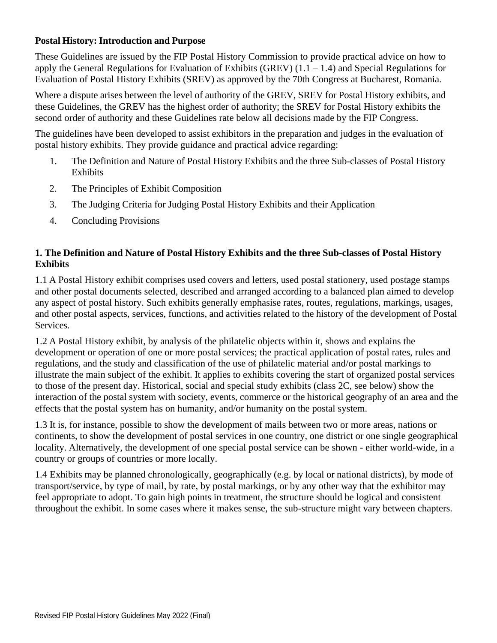#### **Postal History: Introduction and Purpose**

These Guidelines are issued by the FIP Postal History Commission to provide practical advice on how to apply the General Regulations for Evaluation of Exhibits (GREV)  $(1.1 - 1.4)$  and Special Regulations for Evaluation of Postal History Exhibits (SREV) as approved by the 70th Congress at Bucharest, Romania.

Where a dispute arises between the level of authority of the GREV, SREV for Postal History exhibits, and these Guidelines, the GREV has the highest order of authority; the SREV for Postal History exhibits the second order of authority and these Guidelines rate below all decisions made by the FIP Congress.

The guidelines have been developed to assist exhibitors in the preparation and judges in the evaluation of postal history exhibits. They provide guidance and practical advice regarding:

- 1. The Definition and Nature of Postal History Exhibits and the three Sub-classes of Postal History **Exhibits**
- 2. The Principles of Exhibit Composition
- 3. The Judging Criteria for Judging Postal History Exhibits and their Application
- 4. Concluding Provisions

### **1. The Definition and Nature of Postal History Exhibits and the three Sub-classes of Postal History Exhibits**

1.1 A Postal History exhibit comprises used covers and letters, used postal stationery, used postage stamps and other postal documents selected, described and arranged according to a balanced plan aimed to develop any aspect of postal history. Such exhibits generally emphasise rates, routes, regulations, markings, usages, and other postal aspects, services, functions, and activities related to the history of the development of Postal Services.

1.2 A Postal History exhibit, by analysis of the philatelic objects within it, shows and explains the development or operation of one or more postal services; the practical application of postal rates, rules and regulations, and the study and classification of the use of philatelic material and/or postal markings to illustrate the main subject of the exhibit. It applies to exhibits covering the start of organized postal services to those of the present day. Historical, social and special study exhibits (class 2C, see below) show the interaction of the postal system with society, events, commerce or the historical geography of an area and the effects that the postal system has on humanity, and/or humanity on the postal system.

1.3 It is, for instance, possible to show the development of mails between two or more areas, nations or continents, to show the development of postal services in one country, one district or one single geographical locality. Alternatively, the development of one special postal service can be shown - either world-wide, in a country or groups of countries or more locally.

1.4 Exhibits may be planned chronologically, geographically (e.g. by local or national districts), by mode of transport/service, by type of mail, by rate, by postal markings, or by any other way that the exhibitor may feel appropriate to adopt. To gain high points in treatment, the structure should be logical and consistent throughout the exhibit. In some cases where it makes sense, the sub-structure might vary between chapters.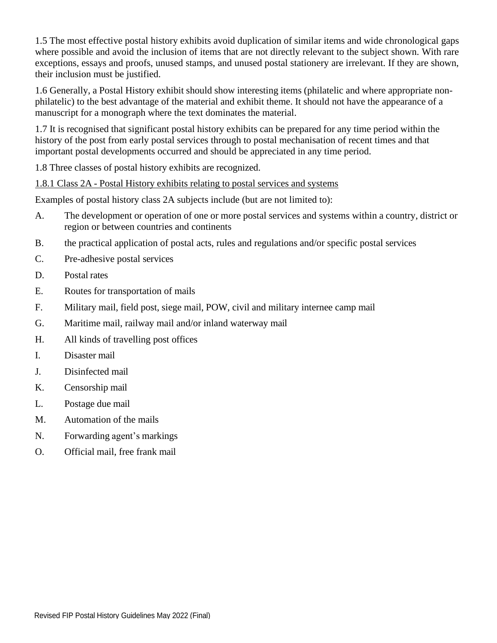1.5 The most effective postal history exhibits avoid duplication of similar items and wide chronological gaps where possible and avoid the inclusion of items that are not directly relevant to the subject shown. With rare exceptions, essays and proofs, unused stamps, and unused postal stationery are irrelevant. If they are shown, their inclusion must be justified.

1.6 Generally, a Postal History exhibit should show interesting items (philatelic and where appropriate nonphilatelic) to the best advantage of the material and exhibit theme. It should not have the appearance of a manuscript for a monograph where the text dominates the material.

1.7 It is recognised that significant postal history exhibits can be prepared for any time period within the history of the post from early postal services through to postal mechanisation of recent times and that important postal developments occurred and should be appreciated in any time period.

1.8 Three classes of postal history exhibits are recognized.

# 1.8.1 Class 2A - Postal History exhibits relating to postal services and systems

Examples of postal history class 2A subjects include (but are not limited to):

- A. The development or operation of one or more postal services and systems within a country, district or region or between countries and continents
- B. the practical application of postal acts, rules and regulations and/or specific postal services
- C. Pre-adhesive postal services
- D. Postal rates
- E. Routes for transportation of mails
- F. Military mail, field post, siege mail, POW, civil and military internee camp mail
- G. Maritime mail, railway mail and/or inland waterway mail
- H. All kinds of travelling post offices
- I. Disaster mail
- J. Disinfected mail
- K. Censorship mail
- L. Postage due mail
- M. Automation of the mails
- N. Forwarding agent's markings
- O. Official mail, free frank mail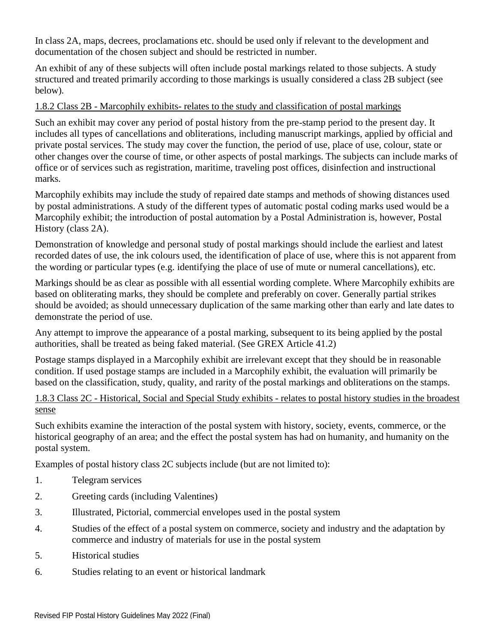In class 2A, maps, decrees, proclamations etc. should be used only if relevant to the development and documentation of the chosen subject and should be restricted in number.

An exhibit of any of these subjects will often include postal markings related to those subjects. A study structured and treated primarily according to those markings is usually considered a class 2B subject (see below).

### 1.8.2 Class 2B - Marcophily exhibits- relates to the study and classification of postal markings

Such an exhibit may cover any period of postal history from the pre-stamp period to the present day. It includes all types of cancellations and obliterations, including manuscript markings, applied by official and private postal services. The study may cover the function, the period of use, place of use, colour, state or other changes over the course of time, or other aspects of postal markings. The subjects can include marks of office or of services such as registration, maritime, traveling post offices, disinfection and instructional marks.

Marcophily exhibits may include the study of repaired date stamps and methods of showing distances used by postal administrations. A study of the different types of automatic postal coding marks used would be a Marcophily exhibit; the introduction of postal automation by a Postal Administration is, however, Postal History (class 2A).

Demonstration of knowledge and personal study of postal markings should include the earliest and latest recorded dates of use, the ink colours used, the identification of place of use, where this is not apparent from the wording or particular types (e.g. identifying the place of use of mute or numeral cancellations), etc.

Markings should be as clear as possible with all essential wording complete. Where Marcophily exhibits are based on obliterating marks, they should be complete and preferably on cover. Generally partial strikes should be avoided; as should unnecessary duplication of the same marking other than early and late dates to demonstrate the period of use.

Any attempt to improve the appearance of a postal marking, subsequent to its being applied by the postal authorities, shall be treated as being faked material. (See GREX Article 41.2)

Postage stamps displayed in a Marcophily exhibit are irrelevant except that they should be in reasonable condition. If used postage stamps are included in a Marcophily exhibit, the evaluation will primarily be based on the classification, study, quality, and rarity of the postal markings and obliterations on the stamps.

### 1.8.3 Class 2C - Historical, Social and Special Study exhibits - relates to postal history studies in the broadest sense

Such exhibits examine the interaction of the postal system with history, society, events, commerce, or the historical geography of an area; and the effect the postal system has had on humanity, and humanity on the postal system.

Examples of postal history class 2C subjects include (but are not limited to):

- 1. Telegram services
- 2. Greeting cards (including Valentines)
- 3. Illustrated, Pictorial, commercial envelopes used in the postal system
- 4. Studies of the effect of a postal system on commerce, society and industry and the adaptation by commerce and industry of materials for use in the postal system
- 5. Historical studies
- 6. Studies relating to an event or historical landmark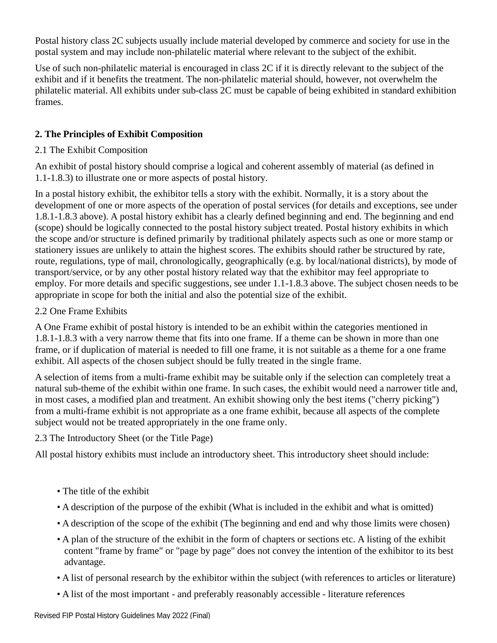Postal history class 2C subjects usually include material developed by commerce and society for use in the postal system and may include non-philatelic material where relevant to the subject of the exhibit.

Use of such non-philatelic material is encouraged in class 2C if it is directly relevant to the subject of the exhibit and if it benefits the treatment. The non-philatelic material should, however, not overwhelm the philatelic material. All exhibits under sub-class 2C must be capable of being exhibited in standard exhibition frames.

# **2. The Principles of Exhibit Composition**

## 2.1 The Exhibit Composition

An exhibit of postal history should comprise a logical and coherent assembly of material (as defined in 1.1-1.8.3) to illustrate one or more aspects of postal history.

In a postal history exhibit, the exhibitor tells a story with the exhibit. Normally, it is a story about the development of one or more aspects of the operation of postal services (for details and exceptions, see under 1.8.1-1.8.3 above). A postal history exhibit has a clearly defined beginning and end. The beginning and end (scope) should be logically connected to the postal history subject treated. Postal history exhibits in which the scope and/or structure is defined primarily by traditional philately aspects such as one or more stamp or stationery issues are unlikely to attain the highest scores. The exhibits should rather be structured by rate, route, regulations, type of mail, chronologically, geographically (e.g. by local/national districts), by mode of transport/service, or by any other postal history related way that the exhibitor may feel appropriate to employ. For more details and specific suggestions, see under 1.1-1.8.3 above. The subject chosen needs to be appropriate in scope for both the initial and also the potential size of the exhibit.

## 2.2 One Frame Exhibits

A One Frame exhibit of postal history is intended to be an exhibit within the categories mentioned in 1.8.1-1.8.3 with a very narrow theme that fits into one frame. If a theme can be shown in more than one frame, or if duplication of material is needed to fill one frame, it is not suitable as a theme for a one frame exhibit. All aspects of the chosen subject should be fully treated in the single frame.

A selection of items from a multi-frame exhibit may be suitable only if the selection can completely treat a natural sub-theme of the exhibit within one frame. In such cases, the exhibit would need a narrower title and, in most cases, a modified plan and treatment. An exhibit showing only the best items ("cherry picking") from a multi-frame exhibit is not appropriate as a one frame exhibit, because all aspects of the complete subject would not be treated appropriately in the one frame only.

2.3 The Introductory Sheet (or the Title Page)

All postal history exhibits must include an introductory sheet. This introductory sheet should include:

- The title of the exhibit
- A description of the purpose of the exhibit (What is included in the exhibit and what is omitted)
- A description of the scope of the exhibit (The beginning and end and why those limits were chosen)
- A plan of the structure of the exhibit in the form of chapters or sections etc. A listing of the exhibit content "frame by frame" or "page by page" does not convey the intention of the exhibitor to its best advantage.
- A list of personal research by the exhibitor within the subject (with references to articles or literature)
- A list of the most important and preferably reasonably accessible literature references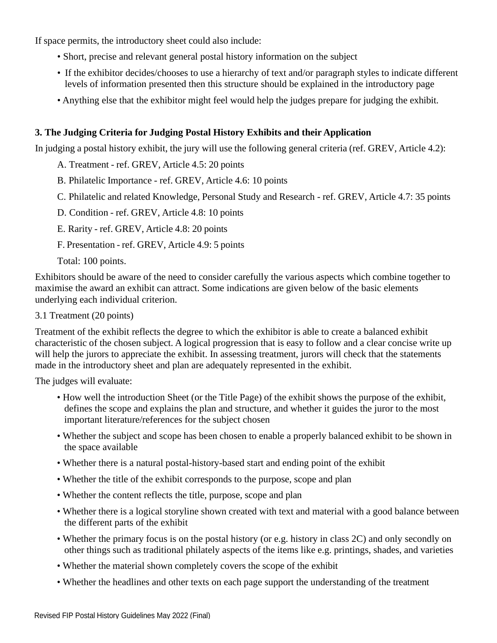If space permits, the introductory sheet could also include:

- Short, precise and relevant general postal history information on the subject
- If the exhibitor decides/chooses to use a hierarchy of text and/or paragraph styles to indicate different levels of information presented then this structure should be explained in the introductory page
- Anything else that the exhibitor might feel would help the judges prepare for judging the exhibit.

## **3. The Judging Criteria for Judging Postal History Exhibits and their Application**

In judging a postal history exhibit, the jury will use the following general criteria (ref. GREV, Article 4.2):

A. Treatment - ref. GREV, Article 4.5: 20 points

- B. Philatelic Importance ref. GREV, Article 4.6: 10 points
- C. Philatelic and related Knowledge, Personal Study and Research ref. GREV, Article 4.7: 35 points

D. Condition - ref. GREV, Article 4.8: 10 points

E. Rarity - ref. GREV, Article 4.8: 20 points

F. Presentation - ref. GREV, Article 4.9: 5 points

Total: 100 points.

Exhibitors should be aware of the need to consider carefully the various aspects which combine together to maximise the award an exhibit can attract. Some indications are given below of the basic elements underlying each individual criterion.

3.1 Treatment (20 points)

Treatment of the exhibit reflects the degree to which the exhibitor is able to create a balanced exhibit characteristic of the chosen subject. A logical progression that is easy to follow and a clear concise write up will help the jurors to appreciate the exhibit. In assessing treatment, jurors will check that the statements made in the introductory sheet and plan are adequately represented in the exhibit.

The judges will evaluate:

- How well the introduction Sheet (or the Title Page) of the exhibit shows the purpose of the exhibit, defines the scope and explains the plan and structure, and whether it guides the juror to the most important literature/references for the subject chosen
- Whether the subject and scope has been chosen to enable a properly balanced exhibit to be shown in the space available
- Whether there is a natural postal-history-based start and ending point of the exhibit
- Whether the title of the exhibit corresponds to the purpose, scope and plan
- Whether the content reflects the title, purpose, scope and plan
- Whether there is a logical storyline shown created with text and material with a good balance between the different parts of the exhibit
- Whether the primary focus is on the postal history (or e.g. history in class 2C) and only secondly on other things such as traditional philately aspects of the items like e.g. printings, shades, and varieties
- Whether the material shown completely covers the scope of the exhibit
- Whether the headlines and other texts on each page support the understanding of the treatment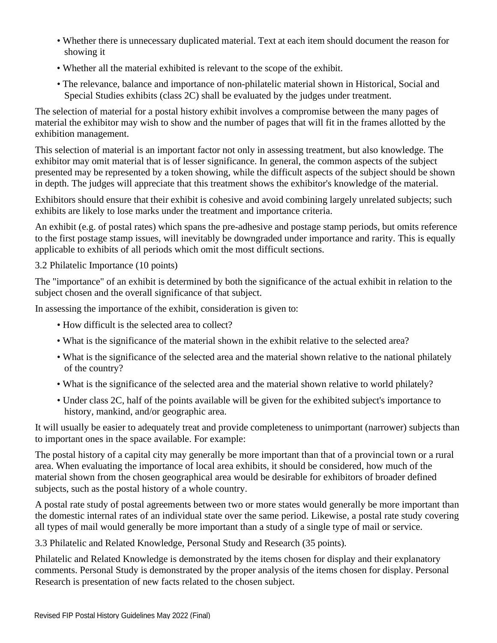- Whether there is unnecessary duplicated material. Text at each item should document the reason for showing it
- Whether all the material exhibited is relevant to the scope of the exhibit.
- The relevance, balance and importance of non-philatelic material shown in Historical, Social and Special Studies exhibits (class 2C) shall be evaluated by the judges under treatment.

The selection of material for a postal history exhibit involves a compromise between the many pages of material the exhibitor may wish to show and the number of pages that will fit in the frames allotted by the exhibition management.

This selection of material is an important factor not only in assessing treatment, but also knowledge. The exhibitor may omit material that is of lesser significance. In general, the common aspects of the subject presented may be represented by a token showing, while the difficult aspects of the subject should be shown in depth. The judges will appreciate that this treatment shows the exhibitor's knowledge of the material.

Exhibitors should ensure that their exhibit is cohesive and avoid combining largely unrelated subjects; such exhibits are likely to lose marks under the treatment and importance criteria.

An exhibit (e.g. of postal rates) which spans the pre-adhesive and postage stamp periods, but omits reference to the first postage stamp issues, will inevitably be downgraded under importance and rarity. This is equally applicable to exhibits of all periods which omit the most difficult sections.

3.2 Philatelic Importance (10 points)

The "importance" of an exhibit is determined by both the significance of the actual exhibit in relation to the subject chosen and the overall significance of that subject.

In assessing the importance of the exhibit, consideration is given to:

- How difficult is the selected area to collect?
- What is the significance of the material shown in the exhibit relative to the selected area?
- What is the significance of the selected area and the material shown relative to the national philately of the country?
- What is the significance of the selected area and the material shown relative to world philately?
- Under class 2C, half of the points available will be given for the exhibited subject's importance to history, mankind, and/or geographic area.

It will usually be easier to adequately treat and provide completeness to unimportant (narrower) subjects than to important ones in the space available. For example:

The postal history of a capital city may generally be more important than that of a provincial town or a rural area. When evaluating the importance of local area exhibits, it should be considered, how much of the material shown from the chosen geographical area would be desirable for exhibitors of broader defined subjects, such as the postal history of a whole country.

A postal rate study of postal agreements between two or more states would generally be more important than the domestic internal rates of an individual state over the same period. Likewise, a postal rate study covering all types of mail would generally be more important than a study of a single type of mail or service.

3.3 Philatelic and Related Knowledge, Personal Study and Research (35 points).

Philatelic and Related Knowledge is demonstrated by the items chosen for display and their explanatory comments. Personal Study is demonstrated by the proper analysis of the items chosen for display. Personal Research is presentation of new facts related to the chosen subject.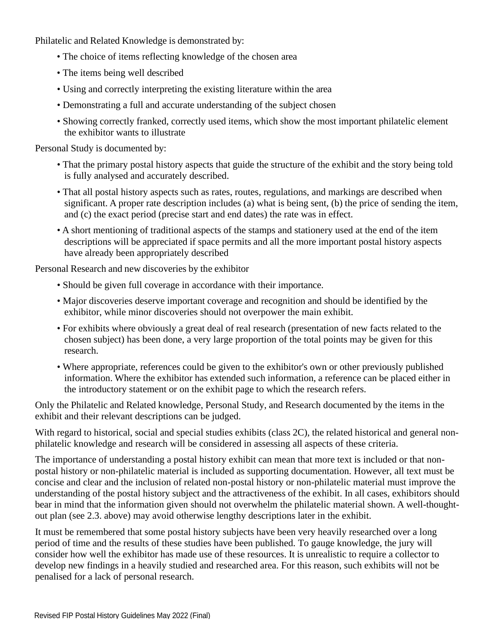Philatelic and Related Knowledge is demonstrated by:

- The choice of items reflecting knowledge of the chosen area
- The items being well described
- Using and correctly interpreting the existing literature within the area
- Demonstrating a full and accurate understanding of the subject chosen
- Showing correctly franked, correctly used items, which show the most important philatelic element the exhibitor wants to illustrate

Personal Study is documented by:

- That the primary postal history aspects that guide the structure of the exhibit and the story being told is fully analysed and accurately described.
- That all postal history aspects such as rates, routes, regulations, and markings are described when significant. A proper rate description includes (a) what is being sent, (b) the price of sending the item, and (c) the exact period (precise start and end dates) the rate was in effect.
- A short mentioning of traditional aspects of the stamps and stationery used at the end of the item descriptions will be appreciated if space permits and all the more important postal history aspects have already been appropriately described

Personal Research and new discoveries by the exhibitor

- Should be given full coverage in accordance with their importance.
- Major discoveries deserve important coverage and recognition and should be identified by the exhibitor, while minor discoveries should not overpower the main exhibit.
- For exhibits where obviously a great deal of real research (presentation of new facts related to the chosen subject) has been done, a very large proportion of the total points may be given for this research.
- Where appropriate, references could be given to the exhibitor's own or other previously published information. Where the exhibitor has extended such information, a reference can be placed either in the introductory statement or on the exhibit page to which the research refers.

Only the Philatelic and Related knowledge, Personal Study, and Research documented by the items in the exhibit and their relevant descriptions can be judged.

With regard to historical, social and special studies exhibits (class 2C), the related historical and general nonphilatelic knowledge and research will be considered in assessing all aspects of these criteria.

The importance of understanding a postal history exhibit can mean that more text is included or that nonpostal history or non-philatelic material is included as supporting documentation. However, all text must be concise and clear and the inclusion of related non-postal history or non-philatelic material must improve the understanding of the postal history subject and the attractiveness of the exhibit. In all cases, exhibitors should bear in mind that the information given should not overwhelm the philatelic material shown. A well-thoughtout plan (see 2.3. above) may avoid otherwise lengthy descriptions later in the exhibit.

It must be remembered that some postal history subjects have been very heavily researched over a long period of time and the results of these studies have been published. To gauge knowledge, the jury will consider how well the exhibitor has made use of these resources. It is unrealistic to require a collector to develop new findings in a heavily studied and researched area. For this reason, such exhibits will not be penalised for a lack of personal research.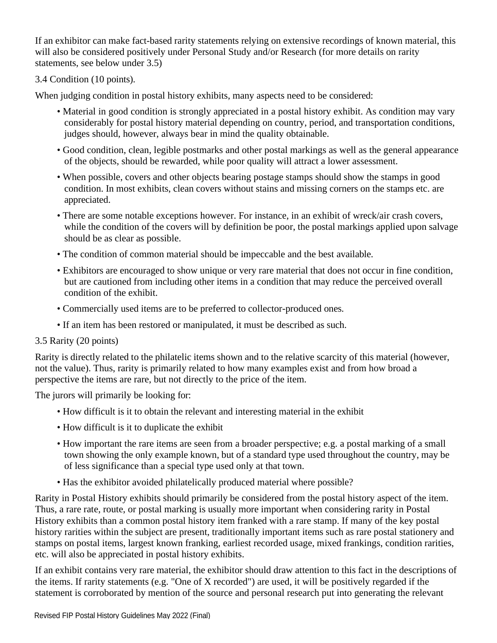If an exhibitor can make fact-based rarity statements relying on extensive recordings of known material, this will also be considered positively under Personal Study and/or Research (for more details on rarity statements, see below under 3.5)

3.4 Condition (10 points).

When judging condition in postal history exhibits, many aspects need to be considered:

- Material in good condition is strongly appreciated in a postal history exhibit. As condition may vary considerably for postal history material depending on country, period, and transportation conditions, judges should, however, always bear in mind the quality obtainable.
- Good condition, clean, legible postmarks and other postal markings as well as the general appearance of the objects, should be rewarded, while poor quality will attract a lower assessment.
- When possible, covers and other objects bearing postage stamps should show the stamps in good condition. In most exhibits, clean covers without stains and missing corners on the stamps etc. are appreciated.
- There are some notable exceptions however. For instance, in an exhibit of wreck/air crash covers, while the condition of the covers will by definition be poor, the postal markings applied upon salvage should be as clear as possible.
- The condition of common material should be impeccable and the best available.
- Exhibitors are encouraged to show unique or very rare material that does not occur in fine condition, but are cautioned from including other items in a condition that may reduce the perceived overall condition of the exhibit.
- Commercially used items are to be preferred to collector-produced ones.
- If an item has been restored or manipulated, it must be described as such.

#### 3.5 Rarity (20 points)

Rarity is directly related to the philatelic items shown and to the relative scarcity of this material (however, not the value). Thus, rarity is primarily related to how many examples exist and from how broad a perspective the items are rare, but not directly to the price of the item.

The jurors will primarily be looking for:

- How difficult is it to obtain the relevant and interesting material in the exhibit
- How difficult is it to duplicate the exhibit
- How important the rare items are seen from a broader perspective; e.g. a postal marking of a small town showing the only example known, but of a standard type used throughout the country, may be of less significance than a special type used only at that town.
- Has the exhibitor avoided philatelically produced material where possible?

Rarity in Postal History exhibits should primarily be considered from the postal history aspect of the item. Thus, a rare rate, route, or postal marking is usually more important when considering rarity in Postal History exhibits than a common postal history item franked with a rare stamp. If many of the key postal history rarities within the subject are present, traditionally important items such as rare postal stationery and stamps on postal items, largest known franking, earliest recorded usage, mixed frankings, condition rarities, etc. will also be appreciated in postal history exhibits.

If an exhibit contains very rare material, the exhibitor should draw attention to this fact in the descriptions of the items. If rarity statements (e.g. "One of X recorded") are used, it will be positively regarded if the statement is corroborated by mention of the source and personal research put into generating the relevant